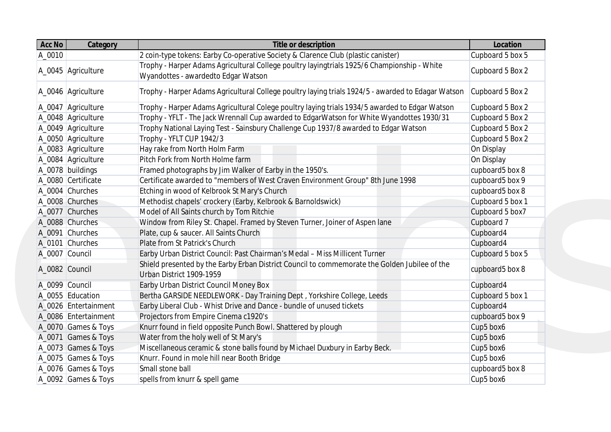| Acc No | <b>Category</b>      | <b>Title or description</b>                                                                                                        | Location         |
|--------|----------------------|------------------------------------------------------------------------------------------------------------------------------------|------------------|
| A_0010 |                      | 2 coin-type tokens: Earby Co-operative Society & Clarence Club (plastic canister)                                                  | Cupboard 5 box 5 |
|        | A_0045 Agriculture   | Trophy - Harper Adams Agricultural College poultry layingtrials 1925/6 Championship - White<br>Wyandottes - awardedto Edgar Watson | Cupboard 5 Box 2 |
|        | A_0046 Agriculture   | Trophy - Harper Adams Agricultural College poultry laying trials 1924/5 - awarded to Edagar Watson                                 | Cupboard 5 Box 2 |
|        | A_0047 Agriculture   | Trophy - Harper Adams Agricultural Colege poultry laying trials 1934/5 awarded to Edgar Watson                                     | Cupboard 5 Box 2 |
|        | A_0048 Agriculture   | Trophy - YFLT - The Jack Wrennall Cup awarded to EdgarWatson for White Wyandottes 1930/31                                          | Cupboard 5 Box 2 |
|        | A_0049 Agriculture   | Trophy National Laying Test - Sainsbury Challenge Cup 1937/8 awarded to Edgar Watson                                               | Cupboard 5 Box 2 |
|        | A_0050 Agriculture   | Trophy - YFLT CUP 1942/3                                                                                                           | Cupboard 5 Box 2 |
|        | A_0083 Agriculture   | Hay rake from North Holm Farm                                                                                                      | On Display       |
|        | A_0084 Agriculture   | Pitch Fork from North Holme farm                                                                                                   | On Display       |
|        | A_0078 buildings     | Framed photographs by Jim Walker of Earby in the 1950's.                                                                           | cupboard5 box 8  |
|        | A_0080 Certificate   | Certificate awarded to "members of West Craven Environment Group" 8th June 1998                                                    | cupboard5 box 9  |
|        | A_0004 Churches      | Etching in wood of Kelbrook St Mary's Church                                                                                       | cupboard5 box 8  |
|        | A_0008 Churches      | Methodist chapels' crockery (Earby, Kelbrook & Barnoldswick)                                                                       | Cupboard 5 box 1 |
|        | A_0077 Churches      | Model of All Saints church by Tom Ritchie                                                                                          | Cupboard 5 box7  |
|        | A_0088 Churches      | Window from Riley St. Chapel. Framed by Steven Turner, Joiner of Aspen lane                                                        | Cupboard 7       |
|        | A_0091 Churches      | Plate, cup & saucer. All Saints Church                                                                                             | Cupboard4        |
|        | A_0101 Churches      | Plate from St Patrick's Church                                                                                                     | Cupboard4        |
|        | A_0007 Council       | Earby Urban District Council: Past Chairman's Medal - Miss Millicent Turner                                                        | Cupboard 5 box 5 |
|        | A_0082 Council       | Shield presented by the Earby Erban District Council to commemorate the Golden Jubilee of the<br>Urban District 1909-1959          | cupboard5 box 8  |
|        | A_0099 Council       | Earby Urban District Council Money Box                                                                                             | Cupboard4        |
|        | A_0055 Education     | Bertha GARSIDE NEEDLEWORK - Day Training Dept, Yorkshire College, Leeds                                                            | Cupboard 5 box 1 |
|        | A_0026 Entertainment | Earby Liberal Club - Whist Drive and Dance - bundle of unused tickets                                                              | Cupboard4        |
|        | A_0086 Entertainment | Projectors from Empire Cinema c1920's                                                                                              | cupboard5 box 9  |
|        | A_0070 Games & Toys  | Knurr found in field opposite Punch Bowl. Shattered by plough                                                                      | Cup5 box6        |
|        | A_0071 Games & Toys  | Water from the holy well of St Mary's                                                                                              | Cup5 box6        |
|        | A_0073 Games & Toys  | Miscellaneous ceramic & stone balls found by Michael Duxbury in Earby Beck.                                                        | Cup5 box6        |
|        | A_0075 Games & Toys  | Knurr. Found in mole hill near Booth Bridge                                                                                        | Cup5 box6        |
|        | A_0076 Games & Toys  | Small stone ball                                                                                                                   | cupboard5 box 8  |
|        | A_0092 Games & Toys  | spells from knurr & spell game                                                                                                     | Cup5 box6        |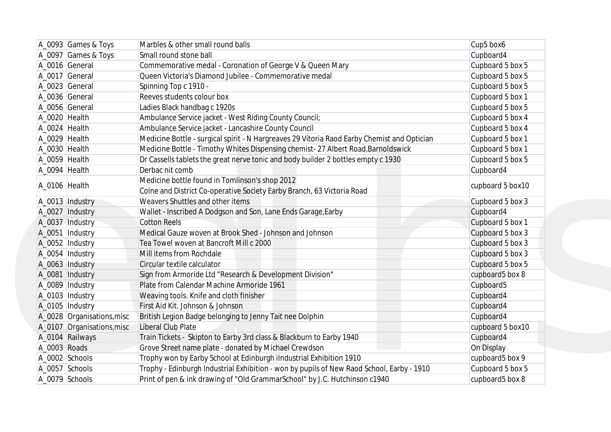|              | A_0093 Games & Toys        | Marbles & other small round balls                                                                                        | Cup5 box6             |
|--------------|----------------------------|--------------------------------------------------------------------------------------------------------------------------|-----------------------|
|              | A_0097 Games & Toys        | Small round stone ball                                                                                                   | Cupboard4             |
|              | A_0016 General             | Commemorative medal - Coronation of George V & Queen Mary                                                                | Cupboard 5 box 5      |
|              | A_0017 General             | Queen Victoria's Diamond Jubilee - Commemorative medal                                                                   | Cupboard 5 box 5      |
|              | A_0023 General             | Spinning Top c 1910 -                                                                                                    | Cupboard 5 box 5      |
|              | A_0036 General             | Reeves students colour box                                                                                               | Cupboard 5 box 1      |
|              | A_0056 General             | Ladies Black handbag c 1920s                                                                                             | Cupboard 5 box 5      |
|              | A_0020 Health              | Ambulance Service jacket - West Riding County Council;                                                                   | Cupboard 5 box 4      |
|              | A_0024 Health              | Ambulance Service jacket - Lancashire County Council                                                                     | Cupboard 5 box 4      |
|              | A_0029 Health              | Medicine Bottle - surgical spirit - N Hargreaves 29 Vitoria Raod Earby Chemist and Optician                              | Cupboard 5 box 1      |
|              | A_0030 Health              | Medicine Bottle - Timothy Whites Dispensing chemist- 27 Albert Road, Barnoldswick                                        | Cupboard 5 box 1      |
|              | A_0059 Health              | Dr Cassells tablets the great nerve tonic and body builder 2 bottles empty c 1930                                        | Cupboard 5 box 5      |
|              | A_0094 Health              | Derbac nit comb                                                                                                          | Cupboard4             |
|              | A_0106 Health              | Medicine bottle found in Tomlinson's shop 2012<br>Colne and District Co-operative Society Earby Branch, 63 Victoria Road | cupboard 5 box10      |
|              | A_0013   Industry          | Weavers Shuttles and other items                                                                                         | Cupboard 5 box 3      |
|              | A_0027 Industry            | Wallet - Inscribed A Dodgson and Son, Lane Ends Garage, Earby                                                            | Cupboard4             |
|              | A_0037 Industry            | <b>Cotton Reels</b>                                                                                                      | Cupboard 5 box 1      |
|              | A_0051   Industry          | Medical Gauze woven at Brook Shed - Johnson and Johnson                                                                  | Cupboard 5 box 3      |
|              | A_0052   Industry          | Tea Towel woven at Bancroft Mill c 2000                                                                                  | Cupboard 5 box 3      |
|              | A_0054  Industry           | Mill items from Rochdale                                                                                                 | Cupboard 5 box 3      |
|              | A_0063  Industry           | Circular textile calculator                                                                                              | Cupboard 5 box 5      |
|              | A_0081   Industry          | Sign from Armoride Ltd "Research & Development Division"                                                                 | cupboard5 box 8       |
|              | A_0089   Industry          | Plate from Calendar Machine Armoride 1961                                                                                | Cupboard <sub>5</sub> |
|              | A_0103  Industry           | Weaving tools. Knife and cloth finisher                                                                                  | Cupboard4             |
|              | A_0105   Industry          | First Aid Kit. Johnson & Johnson                                                                                         | Cupboard4             |
|              | A_0028 Organisations, misc | British Legion Badge belonging to Jenny Tait nee Dolphin                                                                 | Cupboard4             |
|              | A_0107 Organisations, misc | Liberal Club Plate                                                                                                       | cupboard 5 box10      |
|              | A_0104 Railways            | Train Tickets - Skipton to Earby 3rd class & Blackburn to Earby 1940                                                     | Cupboard4             |
| A_0003 Roads |                            | Grove Street name plate - donated by Michael Crewdson                                                                    | On Display            |
|              | A 0002 Schools             | Trophy won by Earby School at Edinburgh iIndustrial Exhibition 1910                                                      | cupboard5 box 9       |
|              | A_0057 Schools             | Trophy - Edinburgh Industrial Exhibition - won by pupils of New Raod School, Earby - 1910                                | Cupboard 5 box 5      |
|              | A_0079 Schools             | Print of pen & ink drawing of "Old GrammarSchool" by J.C. Hutchinson c1940                                               | cupboard5 box 8       |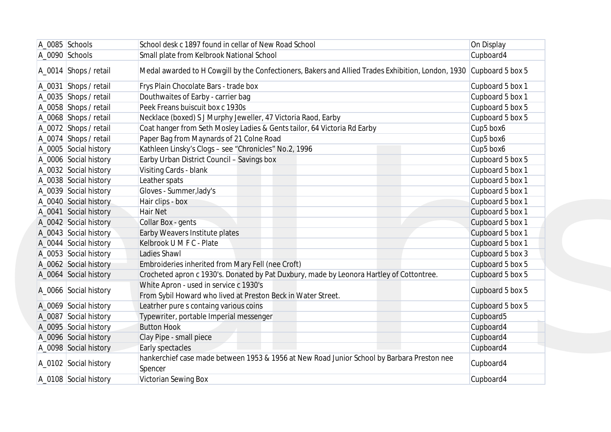| A_0085 Schools          | School desk c 1897 found in cellar of New Road School                                                               | On Display            |
|-------------------------|---------------------------------------------------------------------------------------------------------------------|-----------------------|
| A_0090 Schools          | Small plate from Kelbrook National School                                                                           | Cupboard4             |
| A_0014   Shops / retail | Medal awarded to H Cowgill by the Confectioners, Bakers and Allied Trades Exhibition, London, 1930 Cupboard 5 box 5 |                       |
| A_0031 Shops / retail   | Frys Plain Chocolate Bars - trade box                                                                               | Cupboard 5 box 1      |
| A_0035 Shops / retail   | Douthwaites of Earby - carrier bag                                                                                  | Cupboard 5 box 1      |
| A_0058 Shops / retail   | Peek Freans buiscuit box c 1930s                                                                                    | Cupboard 5 box 5      |
| A_0068 Shops / retail   | Necklace (boxed) S J Murphy Jeweller, 47 Victoria Raod, Earby                                                       | Cupboard 5 box 5      |
| A_0072 Shops / retail   | Coat hanger from Seth Mosley Ladies & Gents tailor, 64 Victoria Rd Earby                                            | Cup5 box6             |
| A_0074 Shops / retail   | Paper Bag from Maynards of 21 Colne Road                                                                            | Cup5 box6             |
| A_0005 Social history   | Kathleen Linsky's Clogs - see "Chronicles" No.2, 1996                                                               | Cup5 box6             |
| A_0006 Social history   | Earby Urban District Council - Savings box                                                                          | Cupboard 5 box 5      |
| A_0032 Social history   | Visiting Cards - blank                                                                                              | Cupboard 5 box 1      |
| A_0038 Social history   | Leather spats                                                                                                       | Cupboard 5 box 1      |
| A_0039 Social history   | Gloves - Summer, lady's                                                                                             | Cupboard 5 box 1      |
| A_0040 Social history   | Hair clips - box                                                                                                    | Cupboard 5 box 1      |
| A_0041 Social history   | <b>Hair Net</b>                                                                                                     | Cupboard 5 box 1      |
| A_0042 Social history   | Collar Box - gents                                                                                                  | Cupboard 5 box 1      |
| A_0043 Social history   | Earby Weavers Institute plates                                                                                      | Cupboard 5 box 1      |
| A_0044 Social history   | Kelbrook U M F C - Plate                                                                                            | Cupboard 5 box 1      |
| A_0053 Social history   | Ladies Shawl                                                                                                        | Cupboard 5 box 3      |
| A_0062 Social history   | Embroideries inherited from Mary Fell (nee Croft)                                                                   | Cupboard 5 box 5      |
| A_0064 Social history   | Crocheted apron c 1930's. Donated by Pat Duxbury, made by Leonora Hartley of Cottontree.                            | Cupboard 5 box 5      |
| A_0066 Social history   | White Apron - used in service c 1930's<br>From Sybil Howard who lived at Preston Beck in Water Street.              | Cupboard 5 box 5      |
| A_0069 Social history   | Leatrher pure s containg various coins                                                                              | Cupboard 5 box 5      |
| A_0087 Social history   | Typewriter, portable Imperial messenger                                                                             | Cupboard <sub>5</sub> |
| A_0095 Social history   | <b>Button Hook</b>                                                                                                  | Cupboard4             |
| A_0096 Social history   | Clay Pipe - small piece                                                                                             | Cupboard4             |
| A_0098 Social history   | Early spectacles                                                                                                    | Cupboard4             |
| A_0102 Social history   | hankerchief case made between 1953 & 1956 at New Road Junior School by Barbara Preston nee<br>Spencer               | Cupboard4             |
| A_0108 Social history   | <b>Victorian Sewing Box</b>                                                                                         | Cupboard4             |